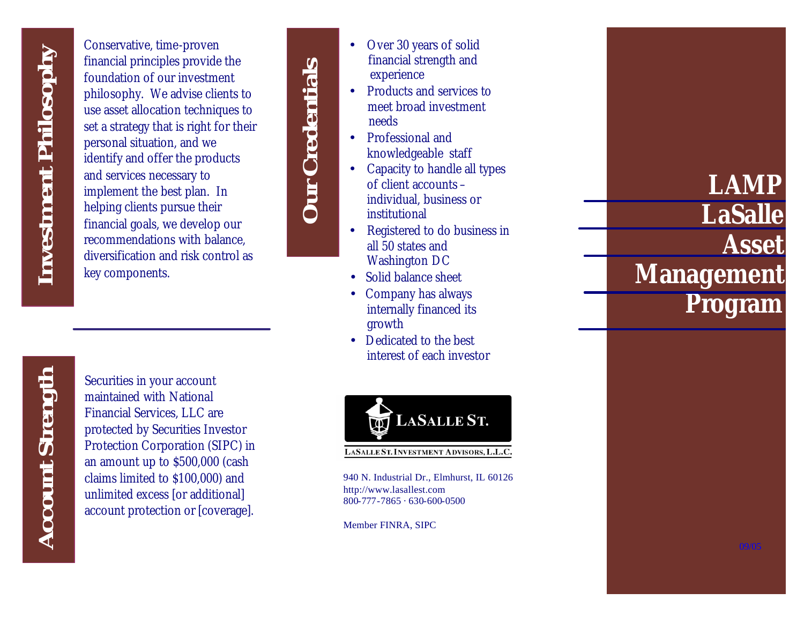Conservative, time -proven financial principles provide the foundation of our investment philosophy. We advise clients to use asset allocation techniques to set a strategy that is right for their personal situation, and we identify and offer the products and services necessary to implement the best plan. In helping clients pursue their financial goals, we develop our recommendations with balance, diversification and risk control as key components.

*Account Strength* **Account Strength** 

Securities in your account maintained with National Financial Services, LLC are protected by Securities Investor Protection Corporation (SIPC) in an amount up to \$500,000 (cash claims limited to \$100,000) and unlimited excess [or additional] account protection or [coverage].

**Our Credentials** *Our Credentials*



- 
- 
- institutional • Registered to do business in all 50 states and Washington DC

• Over 30 years of solid financial strength and

• Products and services to meet broad investment

knowledgeable staff • Capacity to handle all types of client accounts – individual, business or

experience

• Professional and

needs

- Solid balance sheet
- Company has always internally financed its growth
- Dedicated to the best interest of each investor



940 N. Industrial Dr., Elmhurst, IL 60126 http://www.lasallest.com 800-777 -7865 · 630 -600-0500

Member FINRA, SIPC

## *LAMP LaSalle Asset Management*

*Program*